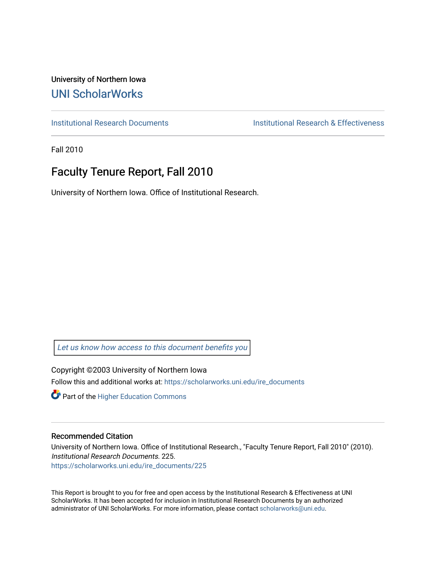University of Northern Iowa [UNI ScholarWorks](https://scholarworks.uni.edu/) 

[Institutional Research Documents](https://scholarworks.uni.edu/ire_documents) [Institutional Research & Effectiveness](https://scholarworks.uni.edu/ire) 

Fall 2010

# Faculty Tenure Report, Fall 2010

University of Northern Iowa. Office of Institutional Research.

[Let us know how access to this document benefits you](https://scholarworks.uni.edu/feedback_form.html) 

Copyright ©2003 University of Northern Iowa Follow this and additional works at: [https://scholarworks.uni.edu/ire\\_documents](https://scholarworks.uni.edu/ire_documents?utm_source=scholarworks.uni.edu%2Fire_documents%2F225&utm_medium=PDF&utm_campaign=PDFCoverPages) 

**Part of the Higher Education Commons** 

#### Recommended Citation

University of Northern Iowa. Office of Institutional Research., "Faculty Tenure Report, Fall 2010" (2010). Institutional Research Documents. 225. [https://scholarworks.uni.edu/ire\\_documents/225](https://scholarworks.uni.edu/ire_documents/225?utm_source=scholarworks.uni.edu%2Fire_documents%2F225&utm_medium=PDF&utm_campaign=PDFCoverPages) 

This Report is brought to you for free and open access by the Institutional Research & Effectiveness at UNI ScholarWorks. It has been accepted for inclusion in Institutional Research Documents by an authorized administrator of UNI ScholarWorks. For more information, please contact [scholarworks@uni.edu](mailto:scholarworks@uni.edu).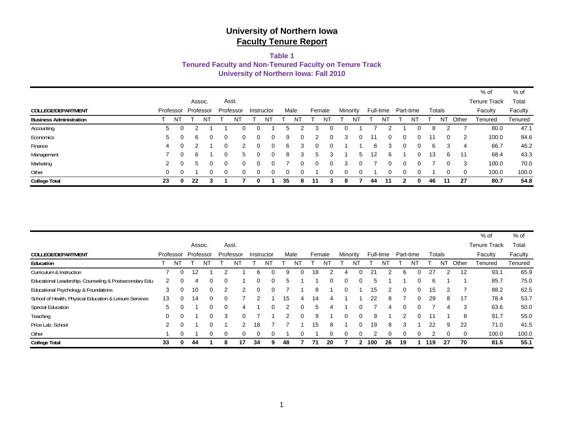#### **Table 1**

**Tenured Faculty and Non-Tenured Faculty on Tenure Track**

**University of Northern Iowa: Fall 2010**

| <b>College Total</b>           | 23 | $\bf{0}$  | 22 | 3         |   |           |            |    | 35   | 8        | 11     |          | 8        |    | 44 | 11        | າ | n.        | 46 | 11     | 27    | 80.7                | 54.8    |
|--------------------------------|----|-----------|----|-----------|---|-----------|------------|----|------|----------|--------|----------|----------|----|----|-----------|---|-----------|----|--------|-------|---------------------|---------|
| Other                          | 0  | 0         |    | 0         | 0 | $\Omega$  | 0          | 0  | 0    |          |        |          |          | 0  |    |           |   |           |    | 0      | 0     | 100.0               | 100.0   |
| Marketing                      | 2  | 0         | 5  |           | 0 | 0         |            | 0  |      | $\Omega$ | 0      | $\Omega$ | 3        | 0  |    |           |   |           |    | 0      | 3     | 100.0               | 70.0    |
| Management                     |    | 0         | 6  |           | 0 | 5.        |            | 0  | 8    | 3        | 5      |          |          | 5  | 12 | 6         |   |           | 13 | 6      | 11    | 68.4                | 43.3    |
| Finance                        | 4  | 0         |    |           | 0 |           | 0          | 0  | 6    | 3        | 0      |          |          |    | 6  | 3         | 0 | 0         | 6  | 3      | 4     | 66.7                | 46.2    |
| Economics                      | 5  | 0         | 6  |           | 0 | 0         |            | 0  | 9    | 0        |        | $\Omega$ | 3        | 0  |    |           | 0 |           | 11 | 0      | -2    | 100.0               | 84.6    |
| Accounting                     | 5  | 0         |    |           |   |           |            |    |      |          | 3      |          |          |    |    |           |   |           | 8  |        |       | 80.0                | 47.1    |
| <b>Business Administration</b> |    | NT        |    | NΤ        |   | ΝĪ        |            | N٦ |      |          |        | N        |          | N٦ |    | N٦        |   | N٦        |    | N٦     | Other | Tenured             | Tenured |
| COLLEGE/DEPARTMENT             |    | Professor |    | Professor |   | Professor | Instructor |    | Male |          | Female |          | Minority |    |    | Full-time |   | Part-time |    | Totals |       | Faculty             | Faculty |
|                                |    |           |    | Assoc.    |   | Asst.     |            |    |      |          |        |          |          |    |    |           |   |           |    |        |       | <b>Tenure Track</b> | Total   |
|                                |    |           |    |           |   |           |            |    |      |          |        |          |          |    |    |           |   |           |    |        |       | % of                | $%$ of  |

|                                                         |    |           |                   |           |          |           |    |            |    |      |        |    |   |          |     |           |           |    |     |          |          | $%$ of              | % of    |
|---------------------------------------------------------|----|-----------|-------------------|-----------|----------|-----------|----|------------|----|------|--------|----|---|----------|-----|-----------|-----------|----|-----|----------|----------|---------------------|---------|
|                                                         |    |           |                   | Assoc.    |          | Asst.     |    |            |    |      |        |    |   |          |     |           |           |    |     |          |          | <b>Tenure Track</b> | Total   |
| <b>COLLEGE/DEPARTMENT</b>                               |    | Professor |                   | Professor |          | Professor |    | Instructor |    | Male | Female |    |   | Minority |     | Full-time | Part-time |    |     | Totals   |          | Faculty             | Faculty |
| Education                                               |    | N٦        |                   | N٦        |          | NΊ        |    | N٦         |    |      |        | N  |   | N٦       |     |           |           | N٦ |     | ΝT       | Other    | Tenured             | Tenured |
| Curriculum & Instruction                                |    | $\Omega$  | $12 \overline{ }$ |           |          |           | 6  | 0          | g  |      | 18     |    |   | $\Omega$ | 21  |           | 6         |    | 27  |          | 12       | 93.1                | 65.9    |
| Educational Leadership, Counseling & Postsecondary Edu. | 2  |           | 4                 | 0         |          |           | 0  | 0          | 5  |      |        |    | 0 | $\Omega$ |     |           |           |    | 6   |          |          | 85.7                | 75.0    |
| Educational Psychology & Foundations                    | 3  |           | 10                | $\Omega$  | 2        |           | 0  | $\Omega$   |    |      | 8      |    | 0 |          | 15  |           | 0         | 0  | 15  |          |          | 88.2                | 62.5    |
| School of Health, Physical Education & Leisure Services | 13 |           | 14                | $\Omega$  | $\Omega$ |           |    |            | 15 | 4    | 14     | 4  |   |          | 22  | 8         |           | 0  | 29  | 8        | 17       | 78.4                | 53.7    |
| <b>Special Education</b>                                | 5  |           |                   | 0         | 0        | 4         |    | 0          |    |      | 5      |    |   | 0        |     | 4         | $\Omega$  |    |     | 4        | 3        | 63.6                | 50.0    |
| Teaching                                                | 0  |           |                   | 0         | 3        | $\Omega$  |    |            |    | 0    | 9      |    | 0 | $\Omega$ | g   |           |           |    |     |          | 8        | 91.7                | 55.0    |
| Price Lab. School                                       | 2  | $\Omega$  |                   | 0         |          |           | 18 |            |    |      | 15     | 8  |   | $\Omega$ | 19  | 8         | 3         |    | 22  | 9        | 22       | 71.0                | 41.5    |
| Other                                                   |    | $\Omega$  |                   | 0         | $\Omega$ | 0         | 0  | 0          |    |      |        |    |   | $\Omega$ |     | 0         | $\Omega$  |    |     | $\Omega$ | $\Omega$ | 100.0               | 100.0   |
| <b>College Total</b>                                    | 33 |           | 44                |           | 8        | 17        | 34 | 9          | 48 |      | 71     | 20 |   |          | 100 | 26        | 19        |    | 119 | 27       | 70       | 81.5                | 55.1    |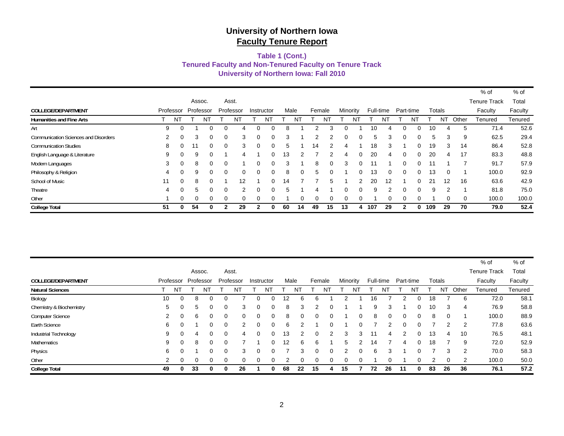#### **University of Northern Iowa: Fall 2010 Tenured Faculty and Non-Tenured Faculty on Tenure Track Table 1 (Cont.)**

|                                             |    |           |          |           |          |           |   |            |      |    |          |          |          |               |           |    |           |          |     |                  |          | % of                | % of    |
|---------------------------------------------|----|-----------|----------|-----------|----------|-----------|---|------------|------|----|----------|----------|----------|---------------|-----------|----|-----------|----------|-----|------------------|----------|---------------------|---------|
|                                             |    |           |          | Assoc.    |          | Asst.     |   |            |      |    |          |          |          |               |           |    |           |          |     |                  |          | <b>Tenure Track</b> | Total   |
| COLLEGE/DEPARTMENT                          |    | Professor |          | Professor |          | Professor |   | Instructor | Male |    | Female   |          | Minority |               | Full-time |    | Part-time |          |     | Totals           |          | Faculty             | Faculty |
| <b>Humanities and Fine Arts</b>             |    | ΝI        |          | NT        |          | NT        |   | NĪ         |      | NT |          | ΝT       |          | N             |           | N1 |           |          |     | $N^{\mathsf{T}}$ | Other    | Tenured             | Tenured |
| Art                                         | 9  | 0         |          |           | 0        |           |   | 0          | 8    |    |          | з        |          |               | 10        |    |           |          | 10  | 4                | 5        | 71.4                | 52.6    |
| <b>Communication Sciences and Disorders</b> | 2  | $\Omega$  | 3        |           | $\Omega$ | 3         |   | $\Omega$   | 3    |    | 2        | っ        | O.       | 0             | 5         | 3  | ∩         | $\Omega$ | 5   | 3                | 9        | 62.5                | 29.4    |
| <b>Communication Studies</b>                | 8  | $\Omega$  | 11       | 0         | $\Omega$ | 3         | 0 | $\Omega$   | 5    |    | 14       | 2        | 4        |               | 18        | 3  |           | $\Omega$ | 19  | 3                | 14       | 86.4                | 52.8    |
| English Language & Literature               | 9  | $\Omega$  | 9        |           |          | 4         |   | 0          | 13   | 2  |          |          | 4        | $\Omega$      | 20        | 4  | $\Omega$  | $\Omega$ | 20  | 4                | 17       | 83.3                | 48.8    |
| Modern Languages                            | 3  | $\Omega$  | 8        |           | $\Omega$ |           |   | 0          | 3    |    | 8        | $\Omega$ | 3        | $\Omega$      | 11        |    | ∩         | $\Omega$ | 11  |                  |          | 91.7                | 57.9    |
| Philosophy & Religion                       | 4  | $\Omega$  | 9        | 0         | $\Omega$ | $\Omega$  | 0 | $\Omega$   | 8    | 0  | 5        | $\Omega$ |          | $\Omega$      | 13        | 0  | $\Omega$  | $\Omega$ | 13  | $\Omega$         |          | 100.0               | 92.9    |
| School of Music                             | 11 | $\Omega$  | 8        |           |          | 12        |   | $\Omega$   | 14   |    |          | 5        |          | $\mathcal{P}$ | 20        | 12 |           | $\Omega$ | 21  | 12               | 16       | 63.6                | 42.9    |
| Theatre                                     | 4  | $\Omega$  | 5        |           | $\Omega$ | 2         |   | 0          | 5    |    |          |          |          | 0             | 9         | ົ  | $\Omega$  | $\Omega$ | 9   | 2                |          | 81.8                | 75.0    |
| Other                                       |    | $\Omega$  | $\Omega$ |           | $\Omega$ | $\Omega$  |   | $\Omega$   |      | 0  | $\Omega$ | $\Omega$ |          | 0             |           | 0  | $\Omega$  | $\Omega$ |     | $\Omega$         | $\Omega$ | 100.0               | 100.0   |
| <b>College Total</b>                        | 51 | 0         | 54       |           |          | 29        |   | 0          | 60   | 14 | 49       | 15       | 13       | 4             | 107       | 29 |           |          | 109 | 29               | 70       | 79.0                | 52.4    |

|                           |                |           |          |           |          |           |   |            |      |    |        |          |    |          |           |    |           |    |    |               |                | $%$ of              | % of    |
|---------------------------|----------------|-----------|----------|-----------|----------|-----------|---|------------|------|----|--------|----------|----|----------|-----------|----|-----------|----|----|---------------|----------------|---------------------|---------|
|                           |                |           |          | Assoc.    |          | Asst.     |   |            |      |    |        |          |    |          |           |    |           |    |    |               |                | <b>Tenure Track</b> | Total   |
| <b>COLLEGE/DEPARTMENT</b> |                | Professor |          | Professor |          | Professor |   | Instructor | Male |    | Female |          |    | Minority | Full-time |    | Part-time |    |    | Totals        |                | Faculty             | Faculty |
| <b>Natural Sciences</b>   |                | NT        |          | N         |          | NΤ        |   | ΝI         |      | N1 |        | N        |    | N1       |           |    |           | NT |    | ΝT            | Other          | Tenured             | Tenured |
| Biology                   | 10             | $\Omega$  | 8        | $\Omega$  |          |           | O |            | 12   | 6  | 6      |          |    |          | 16        |    |           | 0  | 18 |               | 6              | 72.0                | 58.1    |
| Chemistry & Biochemistry  | 5              |           | 5        | 0         |          | 3         | 0 |            | 8    | 3  |        | $\Omega$ |    |          | 9         | 3  |           | 0  | 10 | 3             | 4              | 76.9                | 58.8    |
| <b>Computer Science</b>   | 2              | 0         | 6        | 0         | $\Omega$ | $\Omega$  | 0 | $\Omega$   | 8    | 0  |        | 0        |    |          | 8         | 0  | 0         | 0  | 8  | $\Omega$      |                | 100.0               | 88.9    |
| Earth Science             | 6              |           |          | 0         | $\Omega$ |           | O |            | 6    | 2  |        | 0        |    |          |           |    |           | 0. |    | $\mathcal{P}$ | $\overline{2}$ | 77.8                | 63.6    |
| Industrial Technology     | 9              | 0         | 4        | 0         | $\Omega$ | 4         |   |            | 13   | 2  |        | 2        | 3  | 3        |           |    |           | 0  | 13 | 4             | 10             | 76.5                | 48.1    |
| <b>Mathematics</b>        | 9              | 0         | 8        | 0         | 0        |           |   |            | 12   | 6  | 6      |          | 5  |          | 14        |    |           | 0  | 18 |               | 9              | 72.0                | 52.9    |
| Physics                   | 6              | 0         |          | 0         | 0        | 3         | 0 |            |      | 3  |        | 0        | 2  |          | 6         | 3  |           | 0  |    | 3             | $\overline{2}$ | 70.0                | 58.3    |
| Other                     | $\overline{2}$ | $\Omega$  | $\Omega$ | 0         | $\Omega$ | 0         | 0 |            | 2    | 0  |        | 0        |    |          |           |    |           |    | 2  | 0             | 2              | 100.0               | 50.0    |
| <b>College Total</b>      | 49             |           | 33       | 0         | 0        | 26        |   |            | 68   | 22 | 15     |          | 15 |          | 72        | 26 | 11        |    | 83 | 26            | 36             | 76.1                | 57.2    |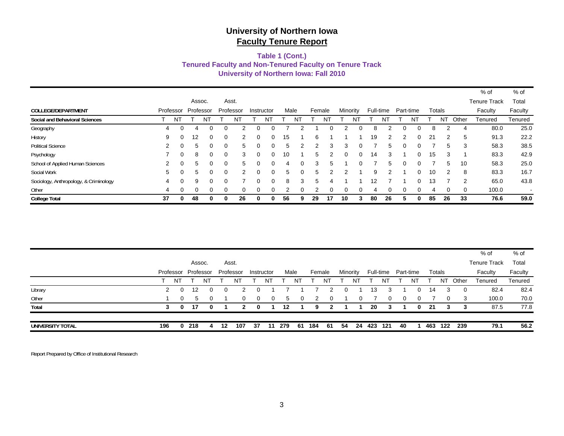#### **Tenured Faculty and Non-Tenured Faculty on Tenure Track University of Northern Iowa: Fall 2010 Table 1 (Cont.)**

|                                        |    |           |           |          |          |           |          |            |      |   |        |          |    |          |           |    |           |          |    |          |          | % of                | % of    |
|----------------------------------------|----|-----------|-----------|----------|----------|-----------|----------|------------|------|---|--------|----------|----|----------|-----------|----|-----------|----------|----|----------|----------|---------------------|---------|
|                                        |    |           | Assoc.    |          |          | Asst.     |          |            |      |   |        |          |    |          |           |    |           |          |    |          |          | <b>Tenure Track</b> | Total   |
| COLLEGE/DEPARTMENT                     |    | Professor | Professor |          |          | Professor |          | Instructor | Male |   | Female |          |    | Minority | Full-time |    | Part-time |          |    | Totals   |          | Faculty             | Faculty |
| <b>Social and Behavioral Sciences</b>  |    | -N.       |           | N.       |          | N         |          | N          |      | N |        |          |    | N        |           | N  |           |          |    | N٦       | Other    | Tenured             | Tenured |
| Geography                              | 4  | ∩         | 4         |          |          |           |          |            |      |   |        |          |    |          |           |    |           |          | 8  |          | 4        | 80.0                | 25.0    |
| History                                | 9  |           | 12        | 0        | $\Omega$ |           | ი        | $\Omega$   | 15   |   | 6      |          |    |          | 19        | 2  |           |          | 21 | 2        | 5        | 91.3                | 22.2    |
| <b>Political Science</b>               | 2  | $\Omega$  | 5         | 0        | $\Omega$ | 5         | 0        | $\Omega$   | 5    | 2 |        | 3        | 3  | 0        |           | 5  |           |          |    | 5        | 3        | 58.3                | 38.5    |
| Psychology                             |    | $\Omega$  | 8         | 0        | $\Omega$ | 3         | $\Omega$ | 0          | 10   |   | 5      |          | o  | $\Omega$ | 14        | 3  |           |          | 15 | 3        |          | 83.3                | 42.9    |
| School of Applied Human Sciences       | 2  | $\Omega$  | 5         | 0        | $\Omega$ | 5         | $\Omega$ | $\Omega$   | 4    | 0 | 3      | 5        |    |          |           | 5  |           |          |    | 5        | 10       | 58.3                | 25.0    |
| Social Work                            | 5  |           | 5         | 0        | $\Omega$ | 2         | 0        | $\Omega$   | 5    | 0 | 5      |          |    |          | 9         | 2  |           | 0        | 10 | 2        | 8        | 83.3                | 16.7    |
| Sociology, Anthropology, & Criminology | 4  | $\Omega$  | 9         | $\Omega$ | $\Omega$ |           | 0        | $\Omega$   | 8    | 3 | 5      | 4        |    |          | 12        |    |           | 0        | 13 |          | 2        | 65.0                | 43.8    |
| Other                                  | 4  | $\Omega$  | $\Omega$  | 0        | $\Omega$ | $\Omega$  | 0        | $\Omega$   | 2    |   |        | $\Omega$ | 0  | ∩        | 4         |    | ∩         | $\Omega$ | 4  | $\Omega$ | $\Omega$ | 100.0               | $\sim$  |
| <b>College Total</b>                   | 37 | 0         | 48        | 0        | 0        | 26        | 0        | 0          | 56   | 9 | 29     | 17       | 10 | 3        | 80        | 26 |           |          | 85 | 26       | 33       | 76.6                | 59.0    |

| UNIVERSITY TOTAL | 196 | 0        | 218                 | 4        | 12 | 107           | 37       | 11         | 279  | 61       | 184    | 61       | -54      |          | 24 423 | 121       | 40       |           | 463 | 122      | 239   | 79.1                | 56.2    |
|------------------|-----|----------|---------------------|----------|----|---------------|----------|------------|------|----------|--------|----------|----------|----------|--------|-----------|----------|-----------|-----|----------|-------|---------------------|---------|
|                  | 3   | 0        | 17                  | 0        |    |               | 0        |            | 12   |          | 9      |          |          |          | 20     | 3         |          | 0         | 21  | 3        | -3    | 87.5                | 77.8    |
| Total            |     |          |                     |          |    | $\mathbf{z}$  |          |            |      |          |        |          |          |          |        |           |          |           |     |          |       |                     |         |
| Other            |     | $\Omega$ | 5                   | $\Omega$ |    | $\Omega$      | $\Omega$ | $\Omega$   | 5    | $\Omega$ | -2     | $\Omega$ |          | $\Omega$ |        | 0         | $\Omega$ | 0         |     | $\Omega$ | -3    | 100.0               | 70.0    |
| Library          |     |          | 12                  | 0        |    | $\mathcal{P}$ | 0        |            |      |          |        |          |          |          | 13     |           |          | 0         | 14  | 3        | 0     | 82.4                | 82.4    |
|                  |     | NT       |                     | NT       |    | Νl            |          | N1         |      |          |        | N1       |          | NT       |        | NT        |          | NT        |     | NT       | Other | Tenured             | Tenured |
|                  |     |          | Professor Professor |          |    | Professor     |          | Instructor | Male |          | Female |          | Minority |          |        | Full-time |          | Part-time |     | Totals   |       | Faculty             | Faculty |
|                  |     |          | Assoc.              |          |    | Asst.         |          |            |      |          |        |          |          |          |        |           |          |           |     |          |       | <b>Tenure Track</b> | Total   |
|                  |     |          |                     |          |    |               |          |            |      |          |        |          |          |          |        |           |          |           |     |          |       | % of                | % of    |

Report Prepared by Office of Institutional Research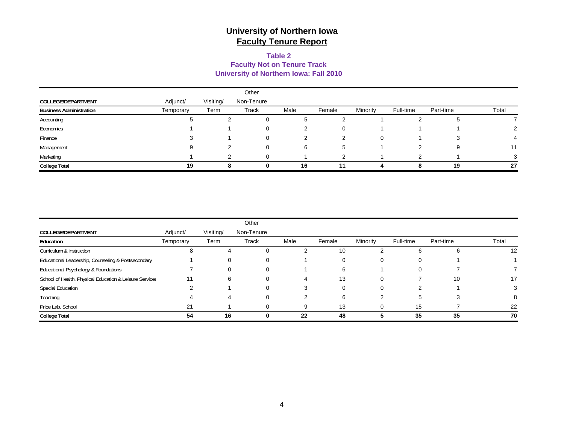#### **Table 2 Faculty Not on Tenure Track University of Northern Iowa: Fall 2010**

|                                |           |           | Other      |      |              |          |           |           |       |
|--------------------------------|-----------|-----------|------------|------|--------------|----------|-----------|-----------|-------|
| COLLEGE/DEPARTMENT             | Adjunct/  | Visiting/ | Non-Tenure |      |              |          |           |           |       |
| <b>Business Administration</b> | Temporary | Term      | Track      | Male | Female       | Minority | Full-time | Part-time | Total |
| Accounting                     |           |           | 0          | ა    |              |          |           |           |       |
| Economics                      |           |           | 0          |      |              |          |           |           |       |
| Finance                        |           |           | 0          |      |              | 0        |           |           | 4     |
| Management                     | 9         |           | 0          | 6    | <sub>5</sub> |          |           |           | 11    |
| Marketing                      |           |           | $\Omega$   |      |              |          |           |           |       |
| <b>College Total</b>           | 19        |           |            | 16   | 11           |          |           | 19        | 27    |

|                                                         |           |           | Other      |      |        |          |           |           |       |
|---------------------------------------------------------|-----------|-----------|------------|------|--------|----------|-----------|-----------|-------|
| COLLEGE/DEPARTMENT                                      | Adjunct/  | Visiting/ | Non-Tenure |      |        |          |           |           |       |
| Education                                               | Temporary | Term      | Track      | Male | Female | Minority | Full-time | Part-time | Total |
| Curriculum & Instruction                                | 8         | 4         | $\Omega$   |      | 10     |          | 6         | n         | 12    |
| Educational Leadership, Counseling & Postsecondary      |           |           | 0          |      | 0      |          | 0         |           |       |
| Educational Psychology & Foundations                    |           |           | 0          |      | 6      |          | 0         |           |       |
| School of Health, Physical Education & Leisure Services | 11        | 6         | 0          |      | 13     |          |           | 10        | 17    |
| <b>Special Education</b>                                |           |           | 0          |      | 0      |          |           |           |       |
| Teaching                                                |           |           | 0          |      | 6      |          | 5         |           |       |
| Price Lab. School                                       | 21        |           |            |      | 13     |          | 15        |           | 22    |
| <b>College Total</b>                                    | 54        | 16        | 0          | 22   | 48     |          | 35        | 35        | 70    |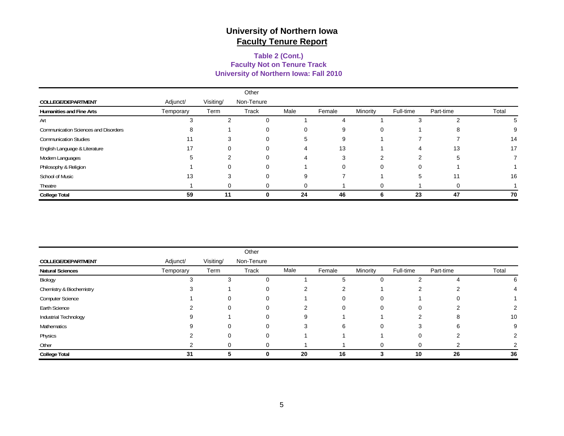#### **University of Northern Iowa: Fall 2010 Faculty Not on Tenure Track Table 2 (Cont.)**

|                                             |           |           | Other      |      |          |            |           |           |       |
|---------------------------------------------|-----------|-----------|------------|------|----------|------------|-----------|-----------|-------|
| COLLEGE/DEPARTMENT                          | Adjunct/  | Visiting/ | Non-Tenure |      |          |            |           |           |       |
| <b>Humanities and Fine Arts</b>             | Temporary | Term      | Track      | Male | Female   | Minority   | Full-time | Part-time | Total |
| Art                                         |           |           | 0          |      |          |            | 5         |           |       |
| <b>Communication Sciences and Disorders</b> |           |           | 0          | 0    | 9        | 0          |           | ŏ         |       |
| <b>Communication Studies</b>                | 11        |           | 0          | 5    | 9        |            |           |           | 14    |
| English Language & Literature               | 17        |           | 0          |      | 13       |            | 4         | 13        | 17    |
| Modern Languages                            |           |           | $\Omega$   |      | 3        | $\sqrt{2}$ | 2         | 5         |       |
| Philosophy & Religion                       |           |           | $\Omega$   |      | $\Omega$ | 0          | 0         |           |       |
| School of Music                             | 13        |           | 0          | 9    |          |            | 5         | 11        | 16    |
| Theatre                                     |           |           | $\Omega$   |      |          |            |           |           |       |
| <b>College Total</b>                        | 59        | 11        |            | 24   | 46       |            | 23        | 47        | 70    |

|                           |           |           | Other      |      |        |          |           |           |       |
|---------------------------|-----------|-----------|------------|------|--------|----------|-----------|-----------|-------|
| <b>COLLEGE/DEPARTMENT</b> | Adjunct/  | Visiting/ | Non-Tenure |      |        |          |           |           |       |
| <b>Natural Sciences</b>   | Temporary | Term      | Track      | Male | Female | Minority | Full-time | Part-time | Total |
| Biology                   |           | 3         | 0          |      |        | 0        |           |           | 6     |
| Chemistry & Biochemistry  |           |           | 0          | ⌒    |        |          |           |           |       |
| Computer Science          |           | $\Omega$  | $\Omega$   |      | 0      | 0        |           |           |       |
| Earth Science             |           | 0         | 0          | ⌒    |        | 0        | $\Omega$  |           |       |
| Industrial Technology     |           |           | 0          | 9    |        |          | ⌒         |           | 10    |
| Mathematics               |           | 0         | $\Omega$   | 3    | 6      | 0        | З         | n         | 9     |
| Physics                   |           | 0         | 0          |      |        |          | 0         |           |       |
| Other                     |           | 0         | 0          |      |        | 0        | $\Omega$  |           |       |
| <b>College Total</b>      | 31        | 5         | 0          | 20   | 16     |          | 10        | 26        | 36    |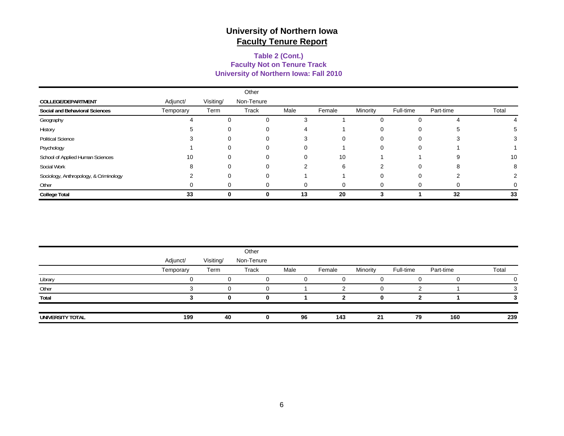#### **Table 2 (Cont.) University of Northern Iowa: Fall 2010 Faculty Not on Tenure Track**

|                                        |           |              | Other        |      |        |          |           |           |       |
|----------------------------------------|-----------|--------------|--------------|------|--------|----------|-----------|-----------|-------|
| COLLEGE/DEPARTMENT                     | Adjunct/  | Visiting/    | Non-Tenure   |      |        |          |           |           |       |
| Social and Behavioral Sciences         | Temporary | Term         | Track        | Male | Female | Minority | Full-time | Part-time | Total |
| Geography                              |           | 0            | ∩            | 3    |        |          |           |           |       |
| History                                |           |              | 0            |      |        | υ        | 0         |           |       |
| <b>Political Science</b>               |           | 0            | 0            | 3    | 0      | 0        | 0         |           |       |
| Psychology                             |           | 0            | 0            | 0    |        | 0        | 0         |           |       |
| School of Applied Human Sciences       | 10        | 0            | 0            | 0    | 10     |          |           |           | 10    |
| Social Work                            |           | $\Omega$     | 0            | 2    | 6      | າ        | 0         |           | 8     |
| Sociology, Anthropology, & Criminology |           | 0            | $\Omega$     |      |        | 0        | 0         |           |       |
| Other                                  |           | $\Omega$     | ∩            | ∩    |        |          | 0         |           |       |
| <b>College Total</b>                   | 33        | <sup>0</sup> | <sup>0</sup> | 13   | 20     | 3        |           | 32        | 33    |

|                  |           |           | Other      |      |        |          |           |           |       |
|------------------|-----------|-----------|------------|------|--------|----------|-----------|-----------|-------|
|                  | Adjunct/  | Visiting/ | Non-Tenure |      |        |          |           |           |       |
|                  | Temporary | Term      | Track      | Male | Female | Minority | Full-time | Part-time | Total |
| Library          |           |           |            |      |        |          |           |           |       |
| Other            |           |           |            |      |        | 0        |           |           |       |
| Total            |           | 0         | 0          |      |        |          |           |           |       |
| UNIVERSITY TOTAL | 199       | 40        |            | 96   | 143    | 21       | 79        | 160       | 239   |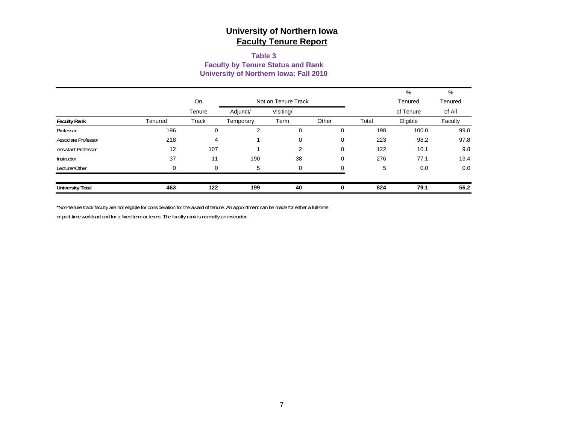#### **Table 3 Faculty by Tenure Status and Rank University of Northern Iowa: Fall 2010**

|                            |          |                           |           |                |       |       | %         | %       |
|----------------------------|----------|---------------------------|-----------|----------------|-------|-------|-----------|---------|
|                            |          | On<br>Not on Tenure Track |           |                |       |       | Tenured   | Tenured |
|                            |          | Tenure                    | Adjunct/  | Visiting/      |       |       | of Tenure | of All  |
| <b>Faculty Rank</b>        | Tenured  | Track                     | Temporary | Term           | Other | Total | Eligible  | Faculty |
| Professor                  | 196      | 0                         | 2         | 0              | 0     | 198   | 100.0     | 99.0    |
| Associate Professor        | 218      | 4                         |           | 0              | 0     | 223   | 98.2      | 97.8    |
| <b>Assistant Professor</b> | 12       | 107                       |           | $\overline{2}$ | 0     | 122   | 10.1      | 9.8     |
| Instructor                 | 37       | 11                        | 190       | 38             | 0     | 276   | 77.1      | 13.4    |
| Lecturer/Other             | $\Omega$ | 0                         | 5         | 0              | 0     | 5     | 0.0       | 0.0     |
| <b>University Total</b>    | 463      | 122                       | 199       | 40             | 0     | 824   | 79.1      | 56.2    |

\*Non-tenure track faculty are not eligible for consideration for the award of tenure. An appointment can be made for either a full-time

or part-time workload and for a fixed term or terms. The faculty rank is normally an instructor.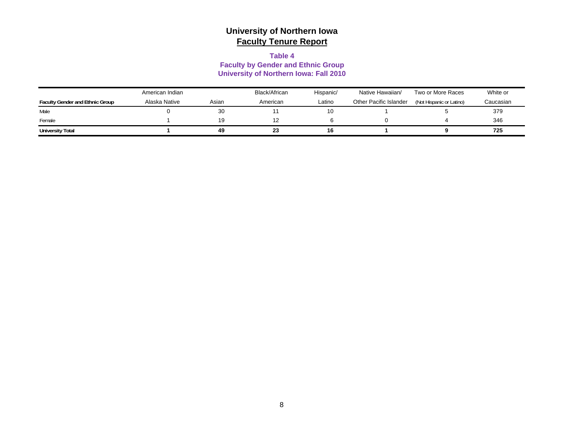#### **Table 4**

#### **Faculty by Gender and Ethnic Group University of Northern Iowa: Fall 2010**

|                                        | American Indian |       | Black/African | Hispanic/ | Native Hawaiian/       | Two or More Races        | White or  |
|----------------------------------------|-----------------|-------|---------------|-----------|------------------------|--------------------------|-----------|
| <b>Faculty Gender and Ethnic Group</b> | Alaska Native   | Asian | American      | ∟atino    | Other Pacific Islander | (Not Hispanic or Latino) | Caucasian |
| Male                                   |                 | 30    |               | 10        |                        |                          | 379       |
| Female                                 |                 | 19    | 12            |           |                        |                          | 346       |
| <b>University Total</b>                |                 | 49    | 23            | 16        |                        |                          | 725       |